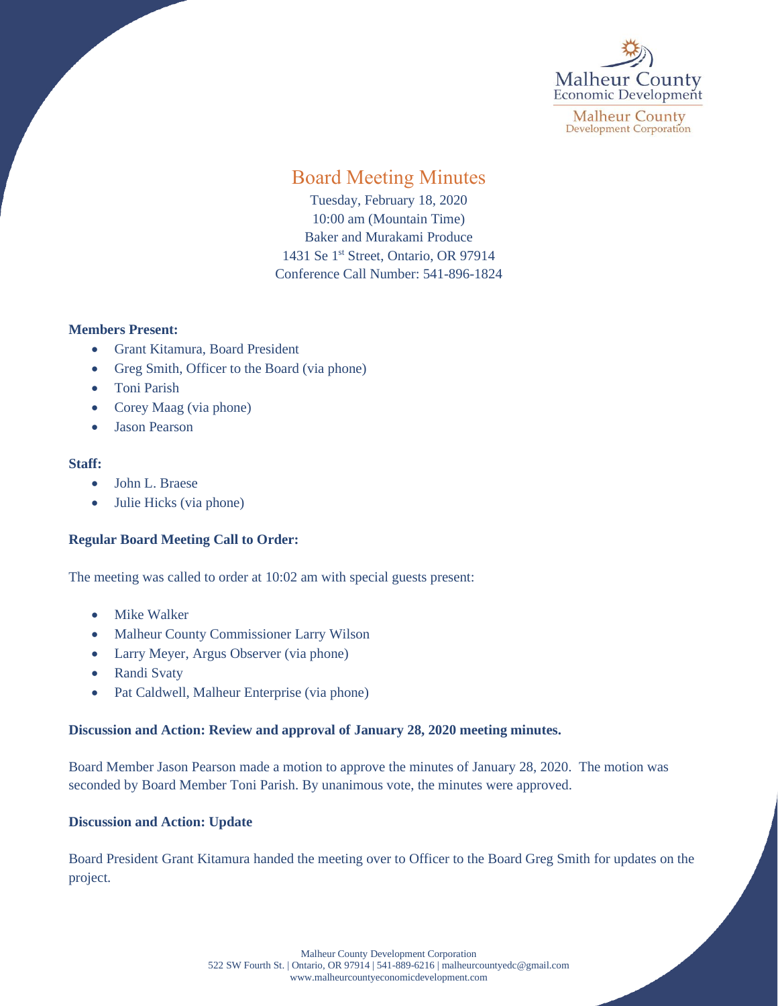

**Malheur County Development Corporation** 

# Board Meeting Minutes

Tuesday, February 18, 2020 10:00 am (Mountain Time) Baker and Murakami Produce 1431 Se 1<sup>st</sup> Street, Ontario, OR 97914 Conference Call Number: 541-896-1824

## **Members Present:**

- Grant Kitamura, Board President
- Greg Smith, Officer to the Board (via phone)
- Toni Parish
- Corey Maag (via phone)
- Jason Pearson

## **Staff:**

- John L. Braese
- Julie Hicks (via phone)

## **Regular Board Meeting Call to Order:**

The meeting was called to order at 10:02 am with special guests present:

- Mike Walker
- Malheur County Commissioner Larry Wilson
- Larry Meyer, Argus Observer (via phone)
- Randi Svaty
- Pat Caldwell, Malheur Enterprise (via phone)

## **Discussion and Action: Review and approval of January 28, 2020 meeting minutes.**

Board Member Jason Pearson made a motion to approve the minutes of January 28, 2020. The motion was seconded by Board Member Toni Parish. By unanimous vote, the minutes were approved.

## **Discussion and Action: Update**

Board President Grant Kitamura handed the meeting over to Officer to the Board Greg Smith for updates on the project.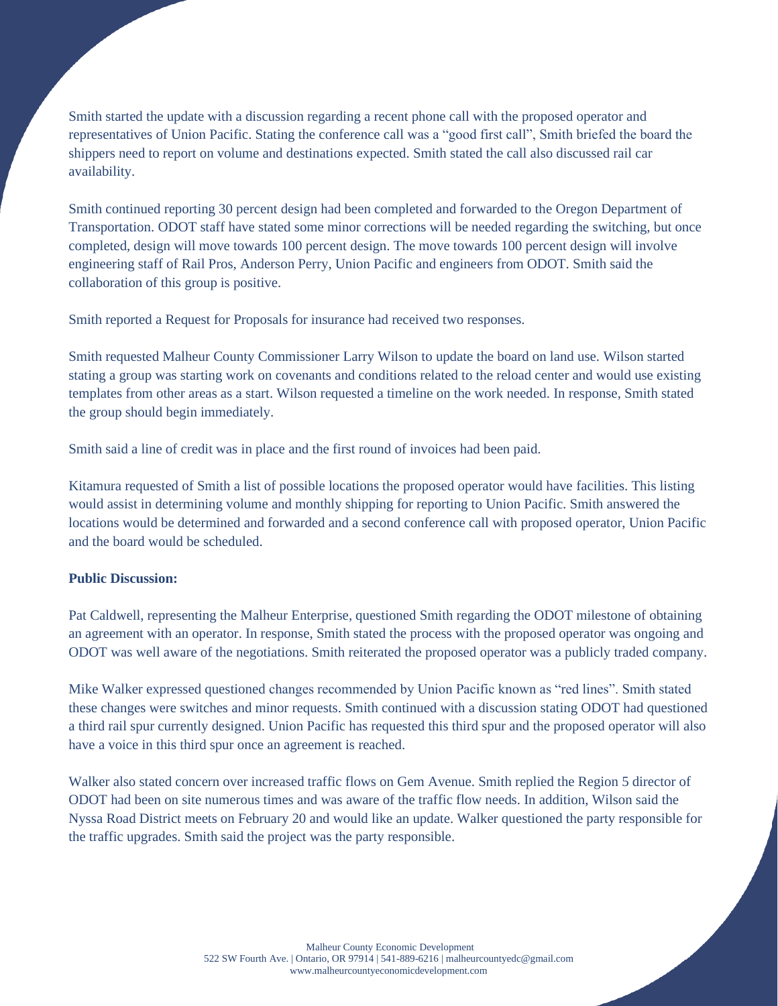Smith started the update with a discussion regarding a recent phone call with the proposed operator and representatives of Union Pacific. Stating the conference call was a "good first call", Smith briefed the board the shippers need to report on volume and destinations expected. Smith stated the call also discussed rail car availability.

Smith continued reporting 30 percent design had been completed and forwarded to the Oregon Department of Transportation. ODOT staff have stated some minor corrections will be needed regarding the switching, but once completed, design will move towards 100 percent design. The move towards 100 percent design will involve engineering staff of Rail Pros, Anderson Perry, Union Pacific and engineers from ODOT. Smith said the collaboration of this group is positive.

Smith reported a Request for Proposals for insurance had received two responses.

Smith requested Malheur County Commissioner Larry Wilson to update the board on land use. Wilson started stating a group was starting work on covenants and conditions related to the reload center and would use existing templates from other areas as a start. Wilson requested a timeline on the work needed. In response, Smith stated the group should begin immediately.

Smith said a line of credit was in place and the first round of invoices had been paid.

Kitamura requested of Smith a list of possible locations the proposed operator would have facilities. This listing would assist in determining volume and monthly shipping for reporting to Union Pacific. Smith answered the locations would be determined and forwarded and a second conference call with proposed operator, Union Pacific and the board would be scheduled.

## **Public Discussion:**

Pat Caldwell, representing the Malheur Enterprise, questioned Smith regarding the ODOT milestone of obtaining an agreement with an operator. In response, Smith stated the process with the proposed operator was ongoing and ODOT was well aware of the negotiations. Smith reiterated the proposed operator was a publicly traded company.

Mike Walker expressed questioned changes recommended by Union Pacific known as "red lines". Smith stated these changes were switches and minor requests. Smith continued with a discussion stating ODOT had questioned a third rail spur currently designed. Union Pacific has requested this third spur and the proposed operator will also have a voice in this third spur once an agreement is reached.

Walker also stated concern over increased traffic flows on Gem Avenue. Smith replied the Region 5 director of ODOT had been on site numerous times and was aware of the traffic flow needs. In addition, Wilson said the Nyssa Road District meets on February 20 and would like an update. Walker questioned the party responsible for the traffic upgrades. Smith said the project was the party responsible.